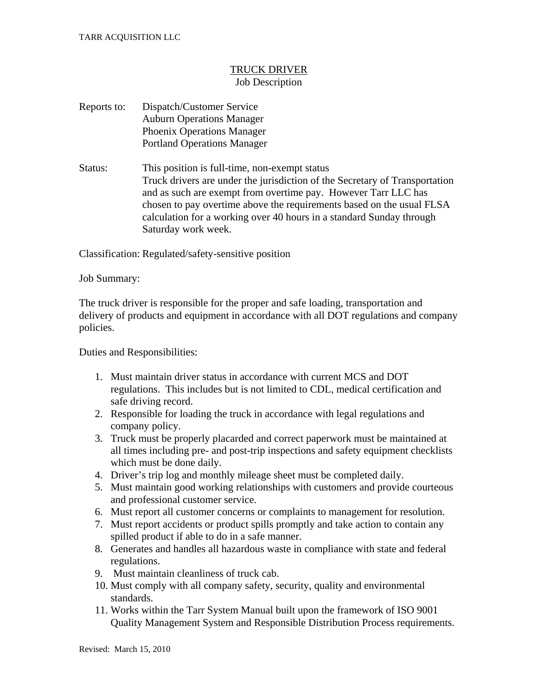## TRUCK DRIVER Job Description

## Reports to: Dispatch/Customer Service Auburn Operations Manager Phoenix Operations Manager Portland Operations Manager

Status: This position is full-time, non-exempt status Truck drivers are under the jurisdiction of the Secretary of Transportation and as such are exempt from overtime pay. However Tarr LLC has chosen to pay overtime above the requirements based on the usual FLSA calculation for a working over 40 hours in a standard Sunday through Saturday work week.

Classification: Regulated/safety-sensitive position

## Job Summary:

The truck driver is responsible for the proper and safe loading, transportation and delivery of products and equipment in accordance with all DOT regulations and company policies.

Duties and Responsibilities:

- 1. Must maintain driver status in accordance with current MCS and DOT regulations. This includes but is not limited to CDL, medical certification and safe driving record.
- 2. Responsible for loading the truck in accordance with legal regulations and company policy.
- 3. Truck must be properly placarded and correct paperwork must be maintained at all times including pre- and post-trip inspections and safety equipment checklists which must be done daily.
- 4. Driver's trip log and monthly mileage sheet must be completed daily.
- 5. Must maintain good working relationships with customers and provide courteous and professional customer service.
- 6. Must report all customer concerns or complaints to management for resolution.
- 7. Must report accidents or product spills promptly and take action to contain any spilled product if able to do in a safe manner.
- 8. Generates and handles all hazardous waste in compliance with state and federal regulations.
- 9. Must maintain cleanliness of truck cab.
- 10. Must comply with all company safety, security, quality and environmental standards.
- 11. Works within the Tarr System Manual built upon the framework of ISO 9001 Quality Management System and Responsible Distribution Process requirements.